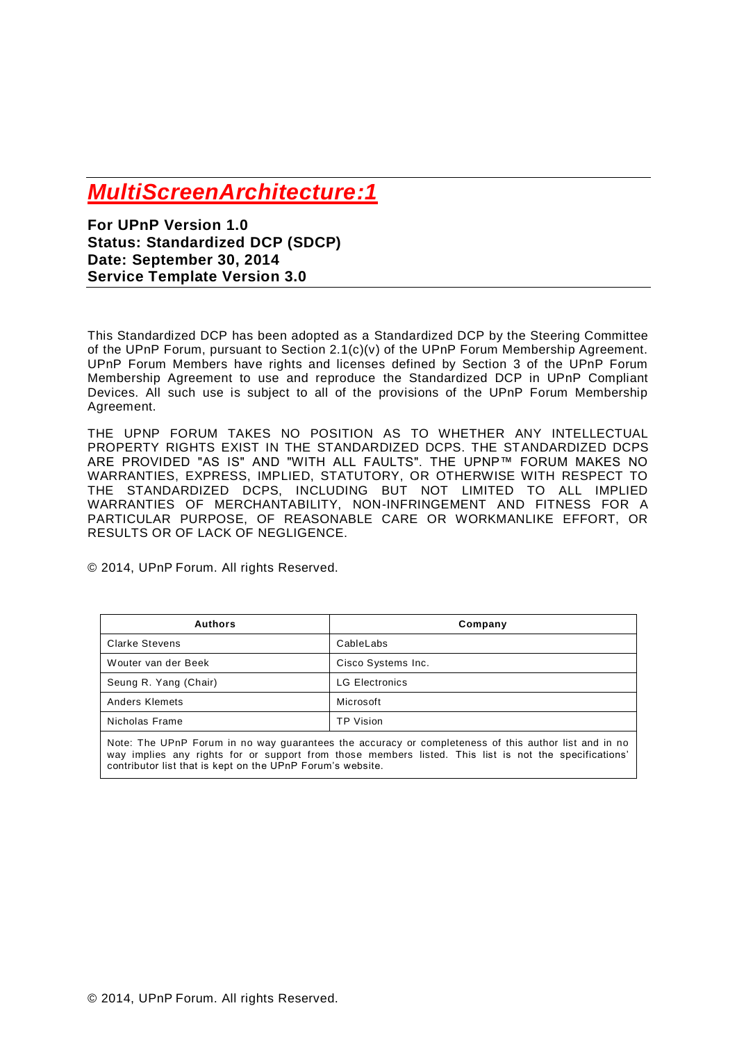# *MultiScreenArchitecture:1*

**For UPnP Version 1.0 Status: Standardized DCP (SDCP) Date: September 30, 2014 Service Template Version 3.0**

This Standardized DCP has been adopted as a Standardized DCP by the Steering Committee of the UPnP Forum, pursuant to Section 2.1(c)(v) of the UPnP Forum Membership Agreement. UPnP Forum Members have rights and licenses defined by Section 3 of the UPnP Forum Membership Agreement to use and reproduce the Standardized DCP in UPnP Compliant Devices. All such use is subject to all of the provisions of the UPnP Forum Membership Agreement.

THE UPNP FORUM TAKES NO POSITION AS TO WHETHER ANY INTELLECTUAL PROPERTY RIGHTS EXIST IN THE STANDARDIZED DCPS. THE STANDARDIZED DCPS ARE PROVIDED "AS IS" AND "WITH ALL FAULTS". THE UPNP™ FORUM MAKES NO WARRANTIES, EXPRESS, IMPLIED, STATUTORY, OR OTHERWISE WITH RESPECT TO THE STANDARDIZED DCPS, INCLUDING BUT NOT LIMITED TO ALL IMPLIED WARRANTIES OF MERCHANTABILITY, NON-INFRINGEMENT AND FITNESS FOR A PARTICULAR PURPOSE, OF REASONABLE CARE OR WORKMANLIKE EFFORT, OR RESULTS OR OF LACK OF NEGLIGENCE.

© 2014, UPnP Forum. All rights Reserved.

| <b>Authors</b>        | Company               |
|-----------------------|-----------------------|
| <b>Clarke Stevens</b> | CableLabs             |
| Wouter van der Beek   | Cisco Systems Inc.    |
| Seung R. Yang (Chair) | <b>LG Electronics</b> |
| Anders Klemets        | Microsoft             |
| Nicholas Frame        | <b>TP Vision</b>      |

Note: The UPnP Forum in no way guarantees the accuracy or completeness of this author list and in no way implies any rights for or support from those members listed. This list is not the specifications' contributor list that is kept on the UPnP Forum's website.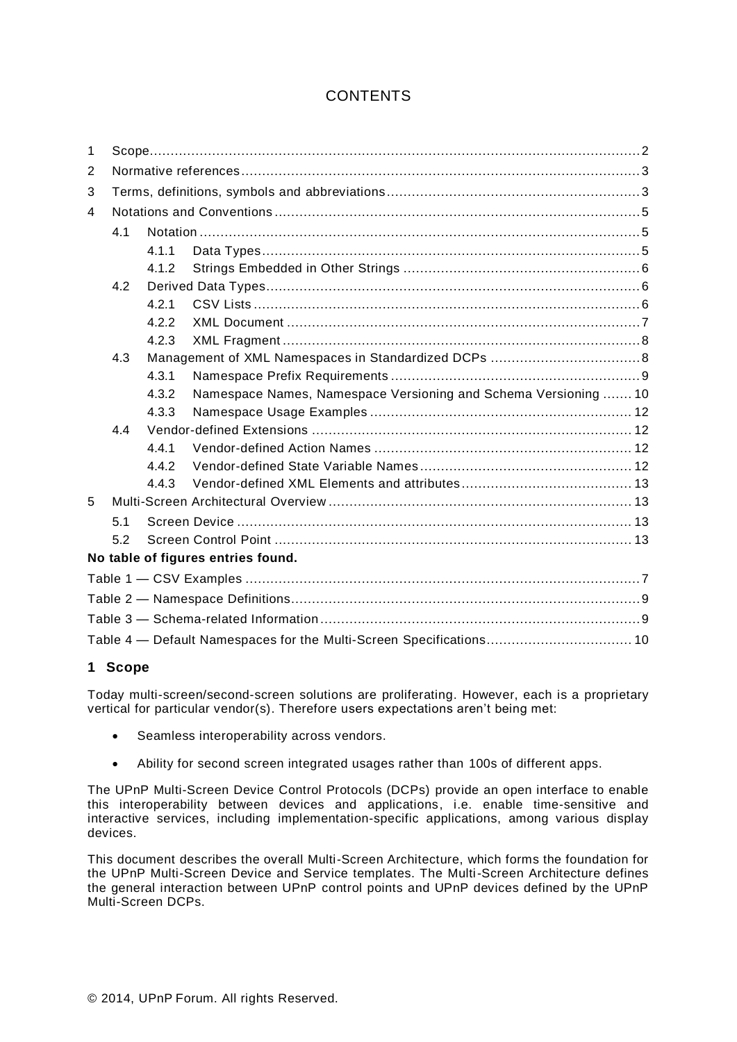# **CONTENTS**

| 1              |     |       |                                                                     |  |
|----------------|-----|-------|---------------------------------------------------------------------|--|
| 2              |     |       |                                                                     |  |
| 3              |     |       |                                                                     |  |
| $\overline{4}$ |     |       |                                                                     |  |
|                | 4.1 |       |                                                                     |  |
|                |     | 4.1.1 |                                                                     |  |
|                |     | 4.1.2 |                                                                     |  |
|                | 4.2 |       |                                                                     |  |
|                |     | 4.2.1 |                                                                     |  |
|                |     | 4.2.2 |                                                                     |  |
|                |     | 4.2.3 |                                                                     |  |
|                | 4.3 |       |                                                                     |  |
|                |     | 4.3.1 |                                                                     |  |
|                |     | 4.3.2 | Namespace Names, Namespace Versioning and Schema Versioning  10     |  |
|                |     | 4.3.3 |                                                                     |  |
|                | 4.4 |       |                                                                     |  |
|                |     | 4.4.1 |                                                                     |  |
|                |     | 4.4.2 |                                                                     |  |
|                |     | 4.4.3 |                                                                     |  |
| 5              |     |       |                                                                     |  |
|                | 51  |       |                                                                     |  |
|                | 5.2 |       |                                                                     |  |
|                |     |       | No table of figures entries found.                                  |  |
|                |     |       |                                                                     |  |
|                |     |       |                                                                     |  |
|                |     |       |                                                                     |  |
|                |     |       | Table 4 - Default Namespaces for the Multi-Screen Specifications 10 |  |

# **1 Scope**

Today multi-screen/second-screen solutions are proliferating. However, each is a proprietary vertical for particular vendor(s). Therefore users expectations aren't being met:

- Seamless interoperability across vendors.
- Ability for second screen integrated usages rather than 100s of different apps.

The UPnP Multi-Screen Device Control Protocols (DCPs) provide an open interface to enable this interoperability between devices and applications, i.e. enable time-sensitive and interactive services, including implementation-specific applications, among various display devices.

This document describes the overall Multi-Screen Architecture, which forms the foundation for the UPnP Multi-Screen Device and Service templates. The Multi-Screen Architecture defines the general interaction between UPnP control points and UPnP devices defined by the UPnP Multi-Screen DCPs.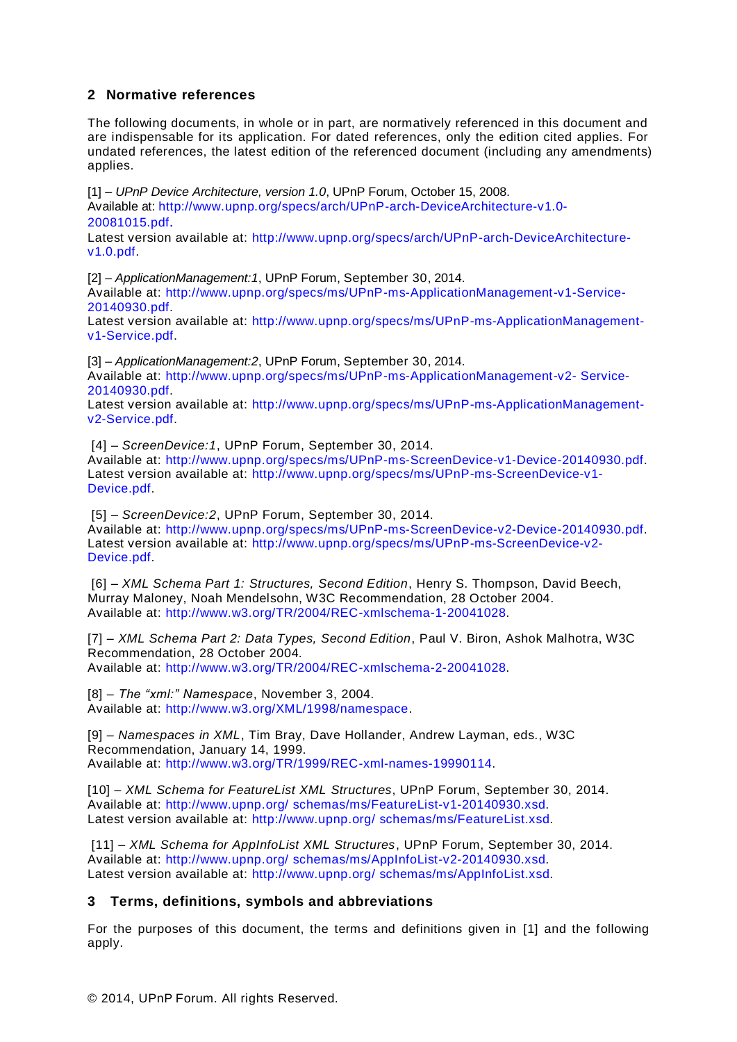# <span id="page-2-5"></span>**2 Normative references**

The following documents, in whole or in part, are normatively referenced in this document and are indispensable for its application. For dated references, only the edition cited applies. For undated references, the latest edition of the referenced document (including any amendments) applies.

<span id="page-2-0"></span>[1] – *UPnP Device Architecture, version 1.0*, UPnP Forum, October 15, 2008.

Available at: [http://www.upnp.org/specs/arch/UPnP-arch-DeviceArchitecture-v1.0-](http://www.upnp.org/specs/arch/UPnP-arch-DeviceArchitecture-v1.0-20081015.pdf) [20081015.pdf](http://www.upnp.org/specs/arch/UPnP-arch-DeviceArchitecture-v1.0-20081015.pdf).

Latest version available at: [http://www.upnp.org/specs/arch/UPnP-arch-DeviceArchitecture](http://www.upnp.org/specs/arch/UPnP-arch-DeviceArchitecture-v1.0.pdf)[v1.0.pdf.](http://www.upnp.org/specs/arch/UPnP-arch-DeviceArchitecture-v1.0.pdf)

<span id="page-2-8"></span>[2] – *ApplicationManagement:1*, UPnP Forum, September 30, 2014. Available at: [http://www.upnp.org/specs/ms/UPnP-ms-ApplicationManagement-v1-Service-](http://www.upnp.org/specs/ms/UPnP-ms-ApplicationManagement-v1-Service-20140930.pdf)[20140930.pdf.](http://www.upnp.org/specs/ms/UPnP-ms-ApplicationManagement-v1-Service-20140930.pdf)

Latest version available at: [http://www.upnp.org/specs/ms/UPnP-ms-ApplicationManagement](http://www.upnp.org/specs/ms/UPnP-ms-ApplicationManagement-v1-Service.pdf)[v1-Service.pdf.](http://www.upnp.org/specs/ms/UPnP-ms-ApplicationManagement-v1-Service.pdf)

<span id="page-2-9"></span>[3] – *ApplicationManagement:2*, UPnP Forum, September 30, 2014. Available at: [http://www.upnp.org/specs/ms/UPnP-ms-ApplicationManagement-v2-](http://www.upnp.org/specs/ms/UPnP-ms-ApplicationManagement-v2-%20Service-20140930.pdf) Service-[20140930.pdf.](http://www.upnp.org/specs/ms/UPnP-ms-ApplicationManagement-v2-%20Service-20140930.pdf)

Latest version available at: [http://www.upnp.org/specs/ms/UPnP-ms-ApplicationManagement](http://www.upnp.org/specs/ms/UPnP-ms-ApplicationManagement-v2-Service.pdf)[v2-Service.pdf.](http://www.upnp.org/specs/ms/UPnP-ms-ApplicationManagement-v2-Service.pdf)

<span id="page-2-10"></span>[4] – *ScreenDevice:1*, UPnP Forum, September 30, 2014. Available at: [http://www.upnp.org/specs/ms/UPnP-ms-ScreenDevice-v1-Device-20140930.pdf.](http://upnp.org/specs/ms/UPnP-ms-ScreenDevice-v1-Device.pdf) Latest version available at: [http://www.upnp.org/specs/ms/UPnP-ms-ScreenDevice-v1-](http://www.upnp.org/specs/ms/UPnP-ms-ScreenDevice-v1-Device.pdf) [Device.pdf.](http://www.upnp.org/specs/ms/UPnP-ms-ScreenDevice-v1-Device.pdf)

<span id="page-2-11"></span>[5] – *ScreenDevice:2*, UPnP Forum, September 30, 2014. Available at: [http://www.upnp.org/specs/ms/UPnP-ms-ScreenDevice-v2-Device-20140930.pdf.](http://upnp.org/specs/ms/UPnP-ms-ScreenDevice-v2-Device.pdf) Latest version available at: [http://www.upnp.org/specs/ms/UPnP-ms-ScreenDevice-v2-](http://www.upnp.org/specs/ms/UPnP-ms-ScreenDevice-v2-Device.pdf) [Device.pdf.](http://www.upnp.org/specs/ms/UPnP-ms-ScreenDevice-v2-Device.pdf)

<span id="page-2-6"></span>[6] – *XML Schema Part 1: Structures, Second Edition*, Henry S. Thompson, David Beech, Murray Maloney, Noah Mendelsohn, W3C Recommendation, 28 October 2004. Available at: [http://www.w3.org/TR/2004/REC-xmlschema-1-20041028.](http://www.w3.org/TR/2004/REC-xmlschema-1-20041028)

<span id="page-2-1"></span>[7] – *XML Schema Part 2: Data Types, Second Edition*, Paul V. Biron, Ashok Malhotra, W3C Recommendation, 28 October 2004. Available at: [http://www.w3.org/TR/2004/REC-xmlschema-2-20041028.](http://www.w3.org/TR/2004/REC-xmlschema-2-20041028)

<span id="page-2-7"></span>[8] – *The "xml:" Namespace*, November 3, 2004. Available at: [http://www.w3.org/XML/1998/namespace.](http://www.w3.org/XML/1998/namespace)

<span id="page-2-4"></span>[9] – *Namespaces in XML*, Tim Bray, Dave Hollander, Andrew Layman, eds., W3C Recommendation, January 14, 1999. Available at: [http://www.w3.org/TR/1999/REC-xml-names-19990114.](http://www.w3.org/TR/1999/REC-xml-names-19990114)

<span id="page-2-2"></span>[10] – *XML Schema for FeatureList XML Structures*, UPnP Forum, September 30, 2014. Available at: http://www.upnp.org/ [schemas/ms/FeatureList-v1-20140930.xsd.](http://upnp.org/%20schemas/ms/FeatureList-v1.xsd) Latest version available at: http://www.upnp.org/ [schemas/ms/FeatureList.xsd.](http://upnp.org/%20schemas/ms/FeatureList.xsd)

<span id="page-2-3"></span>[11] – *XML Schema for AppInfoList XML Structures*, UPnP Forum, September 30, 2014. Available at: http://www.upnp.org/ [schemas/ms/AppInfoList-v2-20140930.xsd.](http://upnp.org/%20schemas/ms/AppInfoList-v2.xsd) Latest version available at: http://www.upnp.org/ [schemas/ms/AppInfoList.xsd.](http://upnp.org/%20schemas/ms/AppInfoList.xsd)

# **3 Terms, definitions, symbols and abbreviations**

For the purposes of this document, the terms and definitions given in [\[1\]](#page-2-0) and the following apply.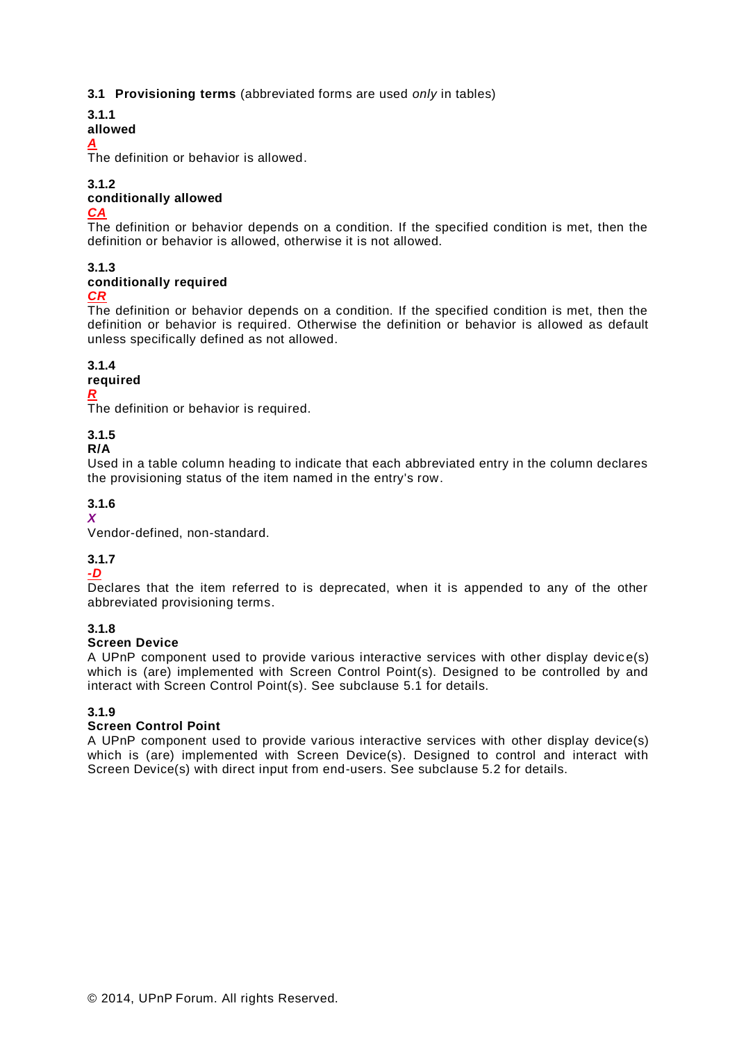# **3.1 Provisioning terms** (abbreviated forms are used *only* in tables)

**3.1.1**

#### **allowed**

#### *A*

The definition or behavior is allowed.

# **3.1.2**

# **conditionally allowed**

#### *CA*

The definition or behavior depends on a condition. If the specified condition is met, then the definition or behavior is allowed, otherwise it is not allowed.

# **3.1.3**

#### **conditionally required** *CR*

The definition or behavior depends on a condition. If the specified condition is met, then the definition or behavior is required. Otherwise the definition or behavior is allowed as default unless specifically defined as not allowed.

# **3.1.4**

#### **required** *R*

The definition or behavior is required.

# **3.1.5**

# **R/A**

Used in a table column heading to indicate that each abbreviated entry in the column declares the provisioning status of the item named in the entry's row.

# **3.1.6**

*X*

Vendor-defined, non-standard.

# **3.1.7**

# *-D*

Declares that the item referred to is deprecated, when it is appended to any of the other abbreviated provisioning terms.

# **3.1.8**

# **Screen Device**

A UPnP component used to provide various interactive services with other display device(s) which is (are) implemented with Screen Control Point(s). Designed to be controlled by and interact with Screen Control Point(s). See subclause 5.1 for details.

# **3.1.9**

# **Screen Control Point**

A UPnP component used to provide various interactive services with other display device(s) which is (are) implemented with Screen Device(s). Designed to control and interact with Screen Device(s) with direct input from end-users. See subclause 5.2 for details.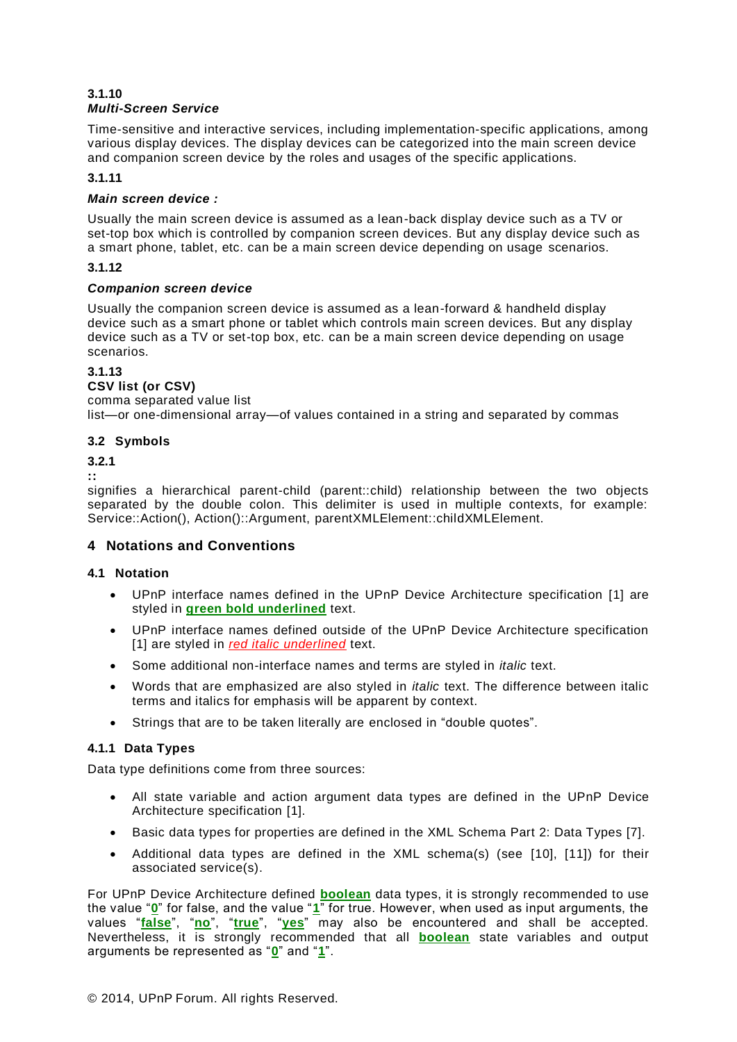#### **3.1.10** *Multi-Screen Service*

Time-sensitive and interactive services, including implementation-specific applications, among various display devices. The display devices can be categorized into the main screen device and companion screen device by the roles and usages of the specific applications.

#### **3.1.11**

#### *Main screen device :*

Usually the main screen device is assumed as a lean-back display device such as a TV or set-top box which is controlled by companion screen devices. But any display device such as a smart phone, tablet, etc. can be a main screen device depending on usage scenarios.

#### **3.1.12**

#### *Companion screen device*

Usually the companion screen device is assumed as a lean-forward & handheld display device such as a smart phone or tablet which controls main screen devices. But any display device such as a TV or set-top box, etc. can be a main screen device depending on usage scenarios.

# **3.1.13**

# **CSV list (or CSV)**

comma separated value list list—or one-dimensional array—of values contained in a string and separated by commas

# **3.2 Symbols**

# **3.2.1**

**::** 

signifies a hierarchical parent-child (parent::child) relationship between the two objects separated by the double colon. This delimiter is used in multiple contexts, for example: Service::Action(), Action()::Argument, parentXMLElement::childXMLElement.

# **4 Notations and Conventions**

# **4.1 Notation**

- UPnP interface names defined in the UPnP Device Architecture specification [\[1\]](#page-2-0) are styled in **green bold underlined** text.
- UPnP interface names defined outside of the UPnP Device Architecture specification [\[1\]](#page-2-0) are styled in *red italic underlined* text.
- Some additional non-interface names and terms are styled in *italic* text.
- Words that are emphasized are also styled in *italic* text. The difference between italic terms and italics for emphasis will be apparent by context.
- Strings that are to be taken literally are enclosed in "double quotes".

# **4.1.1 Data Types**

Data type definitions come from three sources:

- All state variable and action argument data types are defined in the UPnP Device Architecture specification [\[1\]](#page-2-0).
- Basic data types for properties are defined in the XML Schema Part 2: Data Types [\[7\]](#page-2-1).
- Additional data types are defined in the XML schema(s) (see [\[10\]](#page-2-2), [\[11\]](#page-2-3)) for their associated service(s).

For UPnP Device Architecture defined **boolean** data types, it is strongly recommended to use the value "**0**" for false, and the value "**1**" for true. However, when used as input arguments, the values "**false**", "**no**", "**true**", "**yes**" may also be encountered and shall be accepted. Nevertheless, it is strongly recommended that all **boolean** state variables and output arguments be represented as "**0**" and "**1**".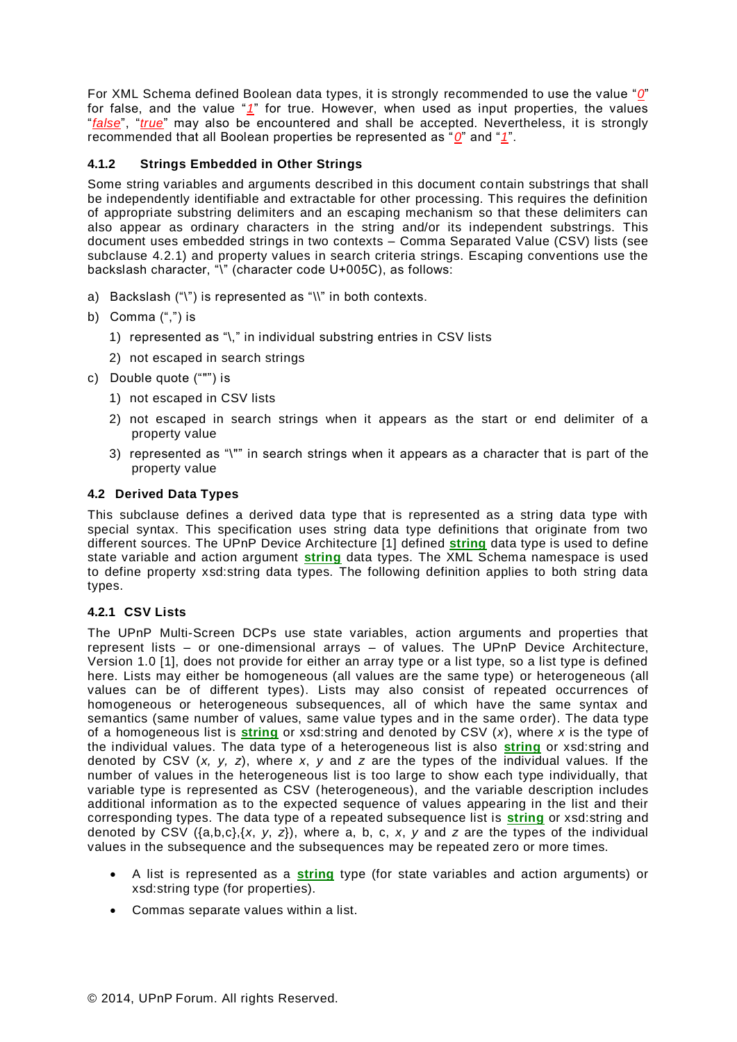For XML Schema defined Boolean data types, it is strongly recommended to use the value "*0*" for false, and the value "*1*" for true. However, when used as input properties, the values "*false*", "*true*" may also be encountered and shall be accepted. Nevertheless, it is strongly recommended that all Boolean properties be represented as "*0*" and "*1*".

#### <span id="page-5-1"></span>**4.1.2 Strings Embedded in Other Strings**

Some string variables and arguments described in this document contain substrings that shall be independently identifiable and extractable for other processing. This requires the definition of appropriate substring delimiters and an escaping mechanism so that these delimiters can also appear as ordinary characters in the string and/or its independent substrings. This document uses embedded strings in two contexts – Comma Separated Value (CSV) lists (see subclause [4.2.1\)](#page-5-0) and property values in search criteria strings. Escaping conventions use the backslash character, "\" (character code U+005C), as follows:

- a) Backslash ("\") is represented as "\\" in both contexts.
- b) Comma (",") is
	- 1) represented as "\," in individual substring entries in CSV lists
	- 2) not escaped in search strings
- c) Double quote (""") is
	- 1) not escaped in CSV lists
	- 2) not escaped in search strings when it appears as the start or end delimiter of a property value
	- 3) represented as "\"" in search strings when it appears as a character that is part of the property value

#### **4.2 Derived Data Types**

This subclause defines a derived data type that is represented as a string data type with special syntax. This specification uses string data type definitions that originate from two different sources. The UPnP Device Architecture [\[1\]](#page-2-0) defined **string** data type is used to define state variable and action argument **string** data types. The XML Schema namespace is used to define property xsd:string data types. The following definition applies to both string data types.

#### <span id="page-5-0"></span>**4.2.1 CSV Lists**

The UPnP Multi-Screen DCPs use state variables, action arguments and properties that represent lists – or one-dimensional arrays – of values. The UPnP Device Architecture, Version 1.0 [\[1\]](#page-2-0), does not provide for either an array type or a list type, so a list type is defined here. Lists may either be homogeneous (all values are the same type) or heterogeneous (all values can be of different types). Lists may also consist of repeated occurrences of homogeneous or heterogeneous subsequences, all of which have the same syntax and semantics (same number of values, same value types and in the same order). The data type of a homogeneous list is **string** or xsd:string and denoted by CSV (*x*), where *x* is the type of the individual values. The data type of a heterogeneous list is also **string** or xsd:string and denoted by CSV (*x, y, z*), where *x*, *y* and *z* are the types of the individual values. If the number of values in the heterogeneous list is too large to show each type individually, that variable type is represented as CSV (heterogeneous), and the variable description includes additional information as to the expected sequence of values appearing in the list and their corresponding types. The data type of a repeated subsequence list is **string** or xsd:string and denoted by CSV ({a,b,c},{*x*, *y*, *z*}), where a, b, c, *x*, *y* and *z* are the types of the individual values in the subsequence and the subsequences may be repeated zero or more times.

- A list is represented as a **string** type (for state variables and action arguments) or xsd:string type (for properties).
- Commas separate values within a list.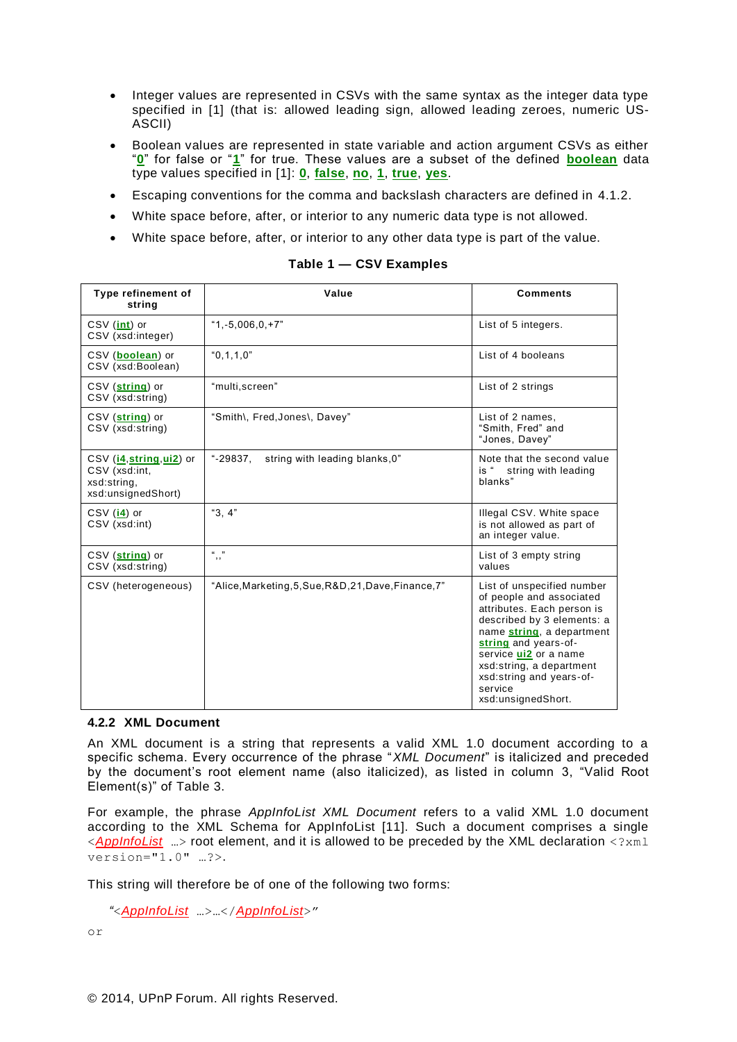- Integer values are represented in CSVs with the same syntax as the integer data type specified in [\[1\]](#page-2-0) (that is: allowed leading sign, allowed leading zeroes, numeric US-ASCII)
- Boolean values are represented in state variable and action argument CSVs as either "**0**" for false or "**1**" for true. These values are a subset of the defined **boolean** data type values specified in [\[1\]](#page-2-0): **0**, **false**, **no**, **1**, **true**, **yes**.
- Escaping conventions for the comma and backslash characters are defined in [4.1.2.](#page-5-1)
- White space before, after, or interior to any numeric data type is not allowed.
- White space before, after, or interior to any other data type is part of the value.

| Type refinement of<br>string                                                   | Value                                                 | <b>Comments</b>                                                                                                                                                                                                                                                                           |
|--------------------------------------------------------------------------------|-------------------------------------------------------|-------------------------------------------------------------------------------------------------------------------------------------------------------------------------------------------------------------------------------------------------------------------------------------------|
| CSV (int) or<br>CSV (xsd:integer)                                              | $"1.-5,006,0,+7"$                                     | List of 5 integers.                                                                                                                                                                                                                                                                       |
| CSV (boolean) or<br>CSV (xsd:Boolean)                                          | "0.1.1.0"                                             | List of 4 booleans                                                                                                                                                                                                                                                                        |
| CSV (string) or<br>CSV (xsd:string)                                            | "multi, screen"                                       | List of 2 strings                                                                                                                                                                                                                                                                         |
| CSV (string) or<br>CSV (xsd:string)                                            | "Smith\, Fred, Jones\, Davey"                         | List of 2 names,<br>"Smith, Fred" and<br>"Jones, Davey"                                                                                                                                                                                                                                   |
| CSV (i4, string, ui2) or<br>CSV (xsd:int,<br>xsd:string,<br>xsd:unsignedShort) | string with leading blanks, 0"<br>"-29837,            | Note that the second value<br>is " string with leading<br>blanks"                                                                                                                                                                                                                         |
| $CSV$ (i4) or<br>CSV (xsd:int)                                                 | "3, $4$ "                                             | Illegal CSV. White space<br>is not allowed as part of<br>an integer value.                                                                                                                                                                                                                |
| CSV (string) or<br>CSV (xsd:string)                                            | $11 - 33$<br>, ,                                      | List of 3 empty string<br>values                                                                                                                                                                                                                                                          |
| CSV (heterogeneous)                                                            | "Alice, Marketing, 5, Sue, R&D, 21, Dave, Finance, 7" | List of unspecified number<br>of people and associated<br>attributes. Each person is<br>described by 3 elements: a<br>name string, a department<br>string and years-of-<br>service ui2 or a name<br>xsd:string, a department<br>xsd:string and years-of-<br>service<br>xsd:unsignedShort. |

#### **Table 1 — CSV Examples**

#### **4.2.2 XML Document**

An XML document is a string that represents a valid XML 1.0 document according to a specific schema. Every occurrence of the phrase "*XML Document*" is italicized and preceded by the document's root element name (also italicized), as listed in column 3, "Valid Root Element(s)" of [Table 3.](#page-8-0)

For example, the phrase *AppInfoList XML Document* refers to a valid XML 1.0 document according to the XML Schema for AppInfoList [\[11\]](#page-2-3). Such a document comprises a single <*AppInfoList* …> root element, and it is allowed to be preceded by the XML declaration <?xml version="1.0" …?>.

This string will therefore be of one of the following two forms:

```
"<AppInfoList …>…</AppInfoList>"
```
or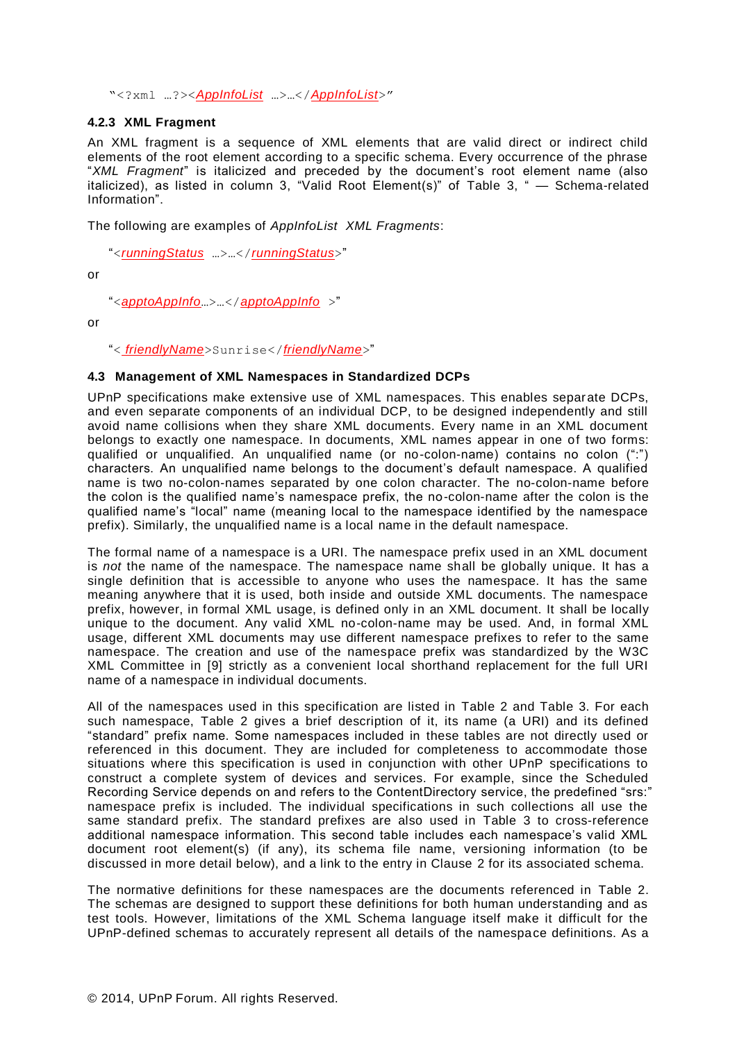"<?xml …?><*AppInfoList* …>…</*AppInfoList*>"

#### **4.2.3 XML Fragment**

An XML fragment is a sequence of XML elements that are valid direct or indirect child elements of the root element according to a specific schema. Every occurrence of the phrase "*XML Fragment*" is italicized and preceded by the document's root element name (also italicized), as listed in column 3, "Valid Root Element(s)" of [Table 3,](#page-8-0) " — [Schema-related](#page-8-1)  [Information"](#page-8-1).

The following are examples of *AppInfoList XML Fragments*:

"<*runningStatus* …>…</*runningStatus*>"

or

"<*apptoAppInfo*…>…</*apptoAppInfo* >"

or

"< *friendlyName*>Sunrise</*friendlyName*>"

#### **4.3 Management of XML Namespaces in Standardized DCPs**

UPnP specifications make extensive use of XML namespaces. This enables separate DCPs, and even separate components of an individual DCP, to be designed independently and still avoid name collisions when they share XML documents. Every name in an XML document belongs to exactly one namespace. In documents, XML names appear in one of two forms: qualified or unqualified. An unqualified name (or no-colon-name) contains no colon (":") characters. An unqualified name belongs to the document's default namespace. A qualified name is two no-colon-names separated by one colon character. The no-colon-name before the colon is the qualified name's namespace prefix, the no-colon-name after the colon is the qualified name's "local" name (meaning local to the namespace identified by the namespace prefix). Similarly, the unqualified name is a local name in the default namespace.

The formal name of a namespace is a URI. The namespace prefix used in an XML document is *not* the name of the namespace. The namespace name shall be globally unique. It has a single definition that is accessible to anyone who uses the namespace. It has the same meaning anywhere that it is used, both inside and outside XML documents. The namespace prefix, however, in formal XML usage, is defined only in an XML document. It shall be locally unique to the document. Any valid XML no-colon-name may be used. And, in formal XML usage, different XML documents may use different namespace prefixes to refer to the same namespace. The creation and use of the namespace prefix was standardized by the W3C XML Committee in [\[9\]](#page-2-4) strictly as a convenient local shorthand replacement for the full URI name of a namespace in individual documents.

All of the namespaces used in this specification are listed in [Table 2](#page-8-2) and [Table 3.](#page-8-0) For each such namespace, [Table 2](#page-8-2) gives a brief description of it, its name (a URI) and its defined "standard" prefix name. Some namespaces included in these tables are not directly used or referenced in this document. They are included for completeness to accommodate those situations where this specification is used in conjunction with other UPnP specifications to construct a complete system of devices and services. For example, since the Scheduled Recording Service depends on and refers to the ContentDirectory service, the predefined "srs:" namespace prefix is included. The individual specifications in such collections all use the same standard prefix. The standard prefixes are also used in [Table 3](#page-8-0) to cross-reference additional namespace information. This second table includes each namespace's valid XML document root element(s) (if any), its schema file name, versioning information (to be discussed in more detail below), and a link to the entry in Clause [2](#page-2-5) for its associated schema.

The normative definitions for these namespaces are the documents referenced in [Table 2.](#page-8-2) The schemas are designed to support these definitions for both human understanding and as test tools. However, limitations of the XML Schema language itself make it difficult for the UPnP-defined schemas to accurately represent all details of the namespace definitions. As a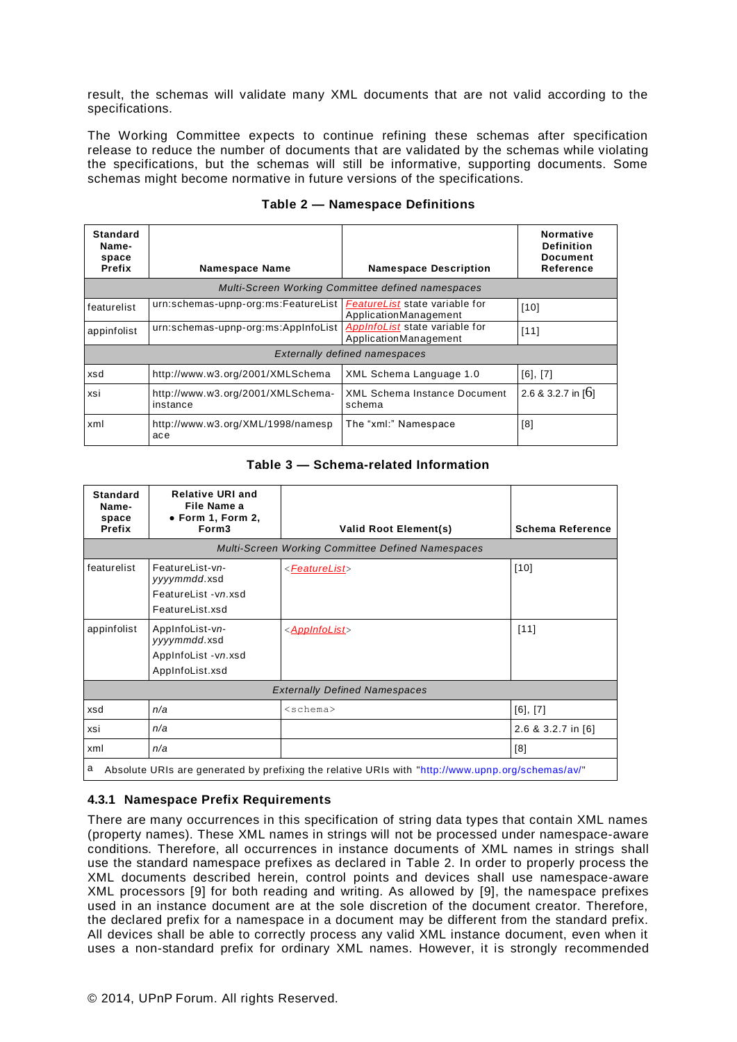result, the schemas will validate many XML documents that are not valid according to the specifications.

The Working Committee expects to continue refining these schemas after specification release to reduce the number of documents that are validated by the schemas while violating the specifications, but the schemas will still be informative, supporting documents. Some schemas might become normative in future versions of the specifications.

<span id="page-8-2"></span>

| Standard<br>Name-<br>space<br><b>Prefix</b>       | <b>Namespace Name</b>                         | <b>Namespace Description</b>                            | <b>Normative</b><br><b>Definition</b><br><b>Document</b><br>Reference |
|---------------------------------------------------|-----------------------------------------------|---------------------------------------------------------|-----------------------------------------------------------------------|
| Multi-Screen Working Committee defined namespaces |                                               |                                                         |                                                                       |
| featurelist                                       | urn:schemas-upnp-org:ms:FeatureList           | FeatureList state variable for<br>ApplicationManagement | [10]                                                                  |
| appinfolist                                       | urn:schemas-upnp-org:ms:AppInfoList           | AppInfoList state variable for<br>ApplicationManagement | [11]                                                                  |
| <b>Externally defined namespaces</b>              |                                               |                                                         |                                                                       |
| xsd                                               | http://www.w3.org/2001/XMLSchema              | XML Schema Language 1.0                                 | $[6]$ , $[7]$                                                         |
| xsi                                               | http://www.w3.org/2001/XMLSchema-<br>instance | <b>XML Schema Instance Document</b><br>schema           | 2.6 & 3.2.7 in [6]                                                    |
| xml                                               | http://www.w3.org/XML/1998/namesp<br>ace      | The "xml:" Namespace                                    | [8]                                                                   |

#### **Table 2 — Namespace Definitions**

#### <span id="page-8-1"></span>**Table 3 — Schema-related Information**

<span id="page-8-0"></span>

| <b>Standard</b><br>Name-<br>space<br>Prefix                                                            | <b>Relative URI and</b><br>File Name a<br>$\bullet$ Form 1, Form 2,<br>Form <sub>3</sub> | <b>Valid Root Element(s)</b> | <b>Schema Reference</b> |
|--------------------------------------------------------------------------------------------------------|------------------------------------------------------------------------------------------|------------------------------|-------------------------|
| <b>Multi-Screen Working Committee Defined Namespaces</b>                                               |                                                                                          |                              |                         |
| featurelist                                                                                            | FeatureList-vn-<br>yyyymmdd.xsd<br>FeatureList -vn.xsd<br>FeatureList.xsd                | < <i>FeatureList&gt;</i>     | $[10]$                  |
| appinfolist                                                                                            | AppInfoList-vn-<br>yyyymmdd.xsd<br>AppInfoList -vn.xsd<br>AppInfoList.xsd                | < <u>AppInfoList</u> >       | $[11]$                  |
| <b>Externally Defined Namespaces</b>                                                                   |                                                                                          |                              |                         |
| xsd                                                                                                    | n/a                                                                                      | $<$ schema $>$               | [6], [7]                |
| xsi                                                                                                    | n/a                                                                                      |                              | 2.6 & 3.2.7 in [6]      |
| xml                                                                                                    | n/a                                                                                      |                              | [8]                     |
| a<br>"Absolute URIs are generated by prefixing the relative URIs with "http://www.upnp.org/schemas/av/ |                                                                                          |                              |                         |

# <span id="page-8-3"></span>**4.3.1 Namespace Prefix Requirements**

There are many occurrences in this specification of string data types that contain XML names (property names). These XML names in strings will not be processed under namespace-aware conditions. Therefore, all occurrences in instance documents of XML names in strings shall use the standard namespace prefixes as declared in [Table 2.](#page-8-2) In order to properly process the XML documents described herein, control points and devices shall use namespace-aware XML processors [\[9\]](#page-2-4) for both reading and writing. As allowed by [\[9\]](#page-2-4), the namespace prefixes used in an instance document are at the sole discretion of the document creator. Therefore, the declared prefix for a namespace in a document may be different from the standard prefix. All devices shall be able to correctly process any valid XML instance document, even when it uses a non-standard prefix for ordinary XML names. However, it is strongly recommended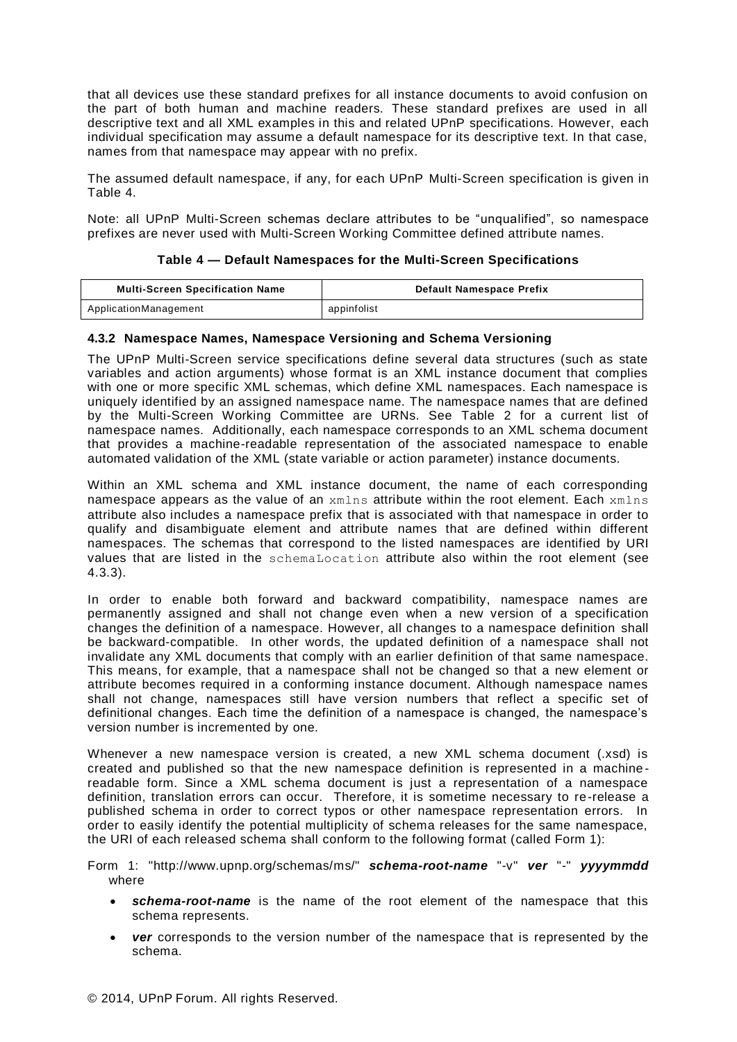that all devices use these standard prefixes for all instance documents to avoid confusion on the part of both human and machine readers. These standard prefixes are used in all descriptive text and all XML examples in this and related UPnP specifications. However, each individual specification may assume a default namespace for its descriptive text. In that case, names from that namespace may appear with no prefix.

The assumed default namespace, if any, for each UPnP Multi-Screen specification is given in [Table](#page-9-0) 4.

Note: all UPnP Multi-Screen schemas declare attributes to be "unqualified", so namespace prefixes are never used with Multi-Screen Working Committee defined attribute names.

#### **Table 4 — Default Namespaces for the Multi-Screen Specifications**

<span id="page-9-0"></span>

| <b>Multi-Screen Specification Name</b> | Default Namespace Prefix |
|----------------------------------------|--------------------------|
| ApplicationManagement                  | appinfolist              |

#### **4.3.2 Namespace Names, Namespace Versioning and Schema Versioning**

The UPnP Multi-Screen service specifications define several data structures (such as state variables and action arguments) whose format is an XML instance document that complies with one or more specific XML schemas, which define XML namespaces. Each namespace is uniquely identified by an assigned namespace name. The namespace names that are defined by the Multi-Screen Working Committee are URNs. See [Table 2](#page-8-2) for a current list of namespace names. Additionally, each namespace corresponds to an XML schema document that provides a machine-readable representation of the associated namespace to enable automated validation of the XML (state variable or action parameter) instance documents.

Within an XML schema and XML instance document, the name of each corresponding namespace appears as the value of an  $xmlns$  attribute within the root element. Each  $xmlns$ attribute also includes a namespace prefix that is associated with that namespace in order to qualify and disambiguate element and attribute names that are defined within different namespaces. The schemas that correspond to the listed namespaces are identified by URI values that are listed in the schemaLocation attribute also within the root element (see [4.3.3\)](#page-11-0).

In order to enable both forward and backward compatibility, namespace names are permanently assigned and shall not change even when a new version of a specification changes the definition of a namespace. However, all changes to a namespace definition shall be backward-compatible. In other words, the updated definition of a namespace shall not invalidate any XML documents that comply with an earlier definition of that same namespace. This means, for example, that a namespace shall not be changed so that a new element or attribute becomes required in a conforming instance document. Although namespace names shall not change, namespaces still have version numbers that reflect a specific set of definitional changes. Each time the definition of a namespace is changed, the namespace's version number is incremented by one.

Whenever a new namespace version is created, a new XML schema document (.xsd) is created and published so that the new namespace definition is represented in a machine readable form. Since a XML schema document is just a representation of a namespace definition, translation errors can occur. Therefore, it is sometime necessary to re-release a published schema in order to correct typos or other namespace representation errors. In order to easily identify the potential multiplicity of schema releases for the same namespace, the URI of each released schema shall conform to the following format (called Form 1):

Form 1: "http://www.upnp.org/schemas/ms/" *schema-root-name* "-v" *ver* "*-*" *yyyymmdd* where

- *schema-root-name* is the name of the root element of the namespace that this schema represents.
- *ver* corresponds to the version number of the namespace that is represented by the schema.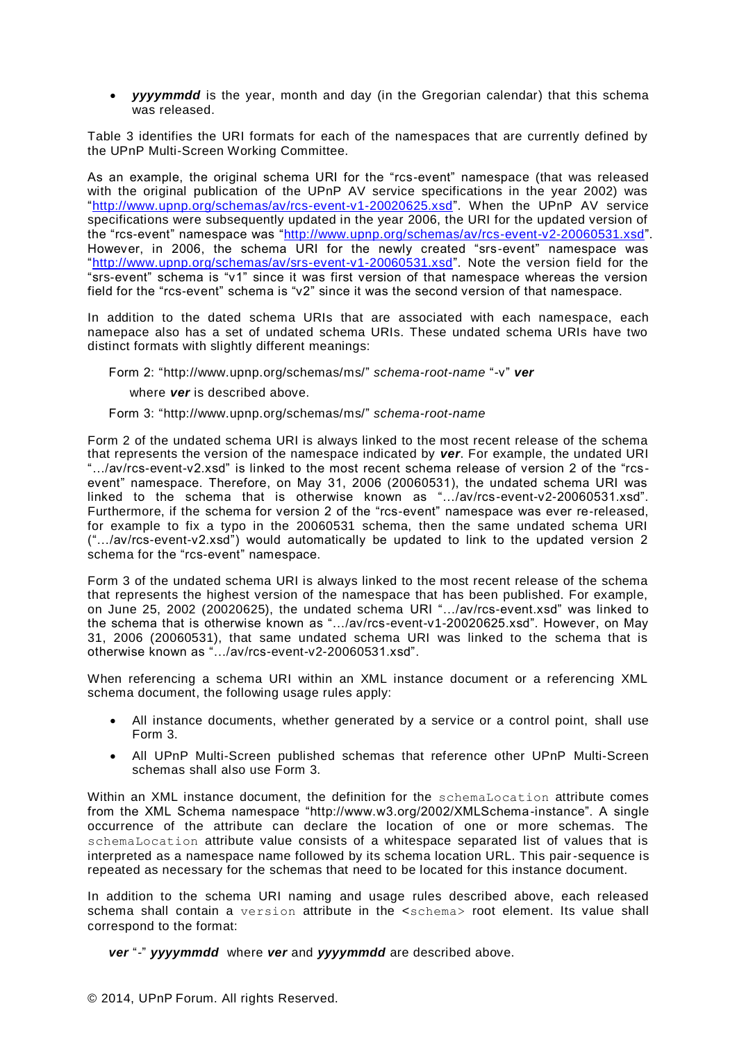*yyyymmdd* is the year, month and day (in the Gregorian calendar) that this schema was released.

[Table 3](#page-8-0) identifies the URI formats for each of the namespaces that are currently defined by the UPnP Multi-Screen Working Committee.

As an example, the original schema URI for the "rcs-event" namespace (that was released with the original publication of the UPnP AV service specifications in the year 2002) was ["http://www.upnp.org/schemas/av/rcs-event-v1-20020625.xsd"](http://www.upnp.org/schemas/av/rcs-event-v1-20020625.xsd). When the UPnP AV service specifications were subsequently updated in the year 2006, the URI for the updated version of the "rcs-event" namespace was ["http://www.upnp.org/schemas/av/rcs-event-v2-20060531.xsd"](http://www.upnp.org/schemas/av/rcs-event-v2-20060531.xsd). However, in 2006, the schema URI for the newly created "srs-event" namespace was ["http://www.upnp.org/schemas/av/srs-event-v1-20060531.xsd"](http://www.upnp.org/schemas/av/srs-event-v1-20060531.xsd). Note the version field for the "srs-event" schema is "v1" since it was first version of that namespace whereas the version field for the "rcs-event" schema is "v2" since it was the second version of that namespace.

In addition to the dated schema URIs that are associated with each namespace, each namepace also has a set of undated schema URIs. These undated schema URIs have two distinct formats with slightly different meanings:

Form 2: "http://www.upnp.org/schemas/ms/" *schema-root-name* "-v" *ver*

where *ver* is described above.

#### Form 3: "http://www.upnp.org/schemas/ms/" *schema-root-name*

Form 2 of the undated schema URI is always linked to the most recent release of the schema that represents the version of the namespace indicated by *ver*. For example, the undated URI "…/av/rcs-event-v2.xsd" is linked to the most recent schema release of version 2 of the "rcsevent" namespace. Therefore, on May 31, 2006 (20060531), the undated schema URI was linked to the schema that is otherwise known as "…/av/rcs-event-v2-20060531.xsd". Furthermore, if the schema for version 2 of the "rcs-event" namespace was ever re-released, for example to fix a typo in the 20060531 schema, then the same undated schema URI ("…/av/rcs-event-v2.xsd") would automatically be updated to link to the updated version 2 schema for the "rcs-event" namespace.

Form 3 of the undated schema URI is always linked to the most recent release of the schema that represents the highest version of the namespace that has been published. For example, on June 25, 2002 (20020625), the undated schema URI "…/av/rcs-event.xsd" was linked to the schema that is otherwise known as "…/av/rcs-event-v1-20020625.xsd". However, on May 31, 2006 (20060531), that same undated schema URI was linked to the schema that is otherwise known as "…/av/rcs-event-v2-20060531.xsd".

When referencing a schema URI within an XML instance document or a referencing XML schema document, the following usage rules apply:

- All instance documents, whether generated by a service or a control point, shall use Form 3.
- All UPnP Multi-Screen published schemas that reference other UPnP Multi-Screen schemas shall also use Form 3.

Within an XML instance document, the definition for the schemaLocation attribute comes from the XML Schema namespace "http://www.w3.org/2002/XMLSchema-instance". A single occurrence of the attribute can declare the location of one or more schemas. The schemaLocation attribute value consists of a whitespace separated list of values that is interpreted as a namespace name followed by its schema location URL. This pair-sequence is repeated as necessary for the schemas that need to be located for this instance document.

In addition to the schema URI naming and usage rules described above, each released schema shall contain a version attribute in the <schema> root element. Its value shall correspond to the format:

*ver* "*-*" *yyyymmdd* where *ver* and *yyyymmdd* are described above.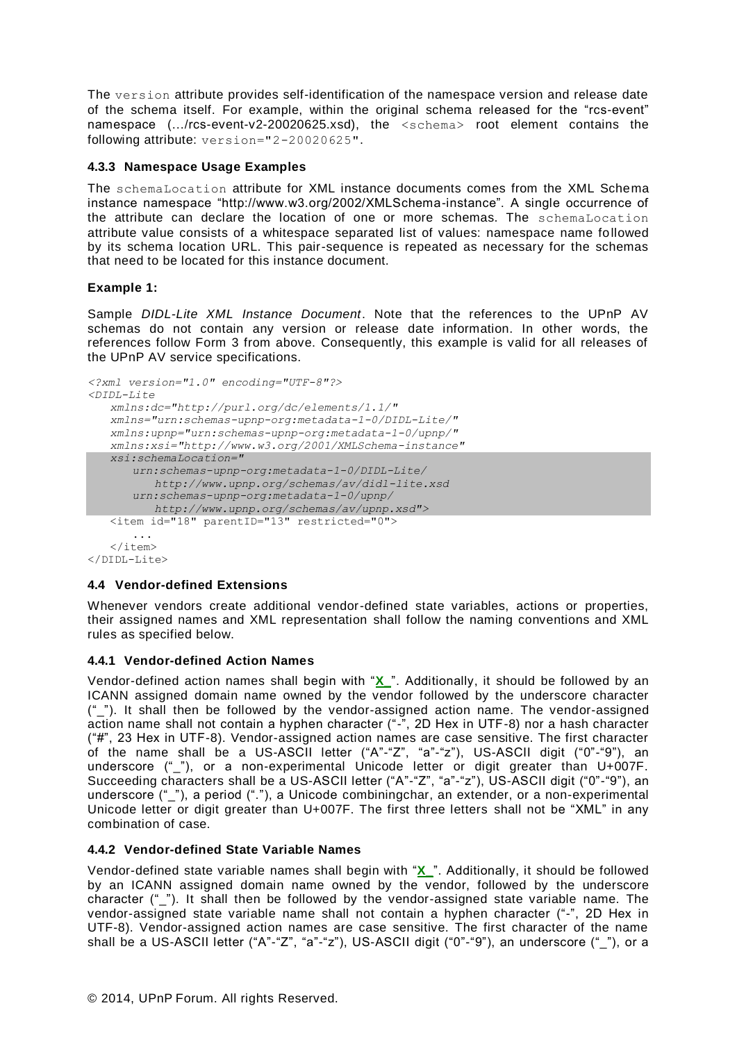The version attribute provides self-identification of the namespace version and release date of the schema itself. For example, within the original schema released for the "rcs-event" namespace (…/rcs-event-v2-20020625.xsd), the <schema> root element contains the following attribute: version="2-20020625".

#### <span id="page-11-0"></span>**4.3.3 Namespace Usage Examples**

The schemaLocation attribute for XML instance documents comes from the XML Schema instance namespace "http://www.w3.org/2002/XMLSchema-instance". A single occurrence of the attribute can declare the location of one or more schemas. The schemaLocation attribute value consists of a whitespace separated list of values: namespace name followed by its schema location URL. This pair-sequence is repeated as necessary for the schemas that need to be located for this instance document.

#### **Example 1:**

Sample *DIDL-Lite XML Instance Document*. Note that the references to the UPnP AV schemas do not contain any version or release date information. In other words, the references follow Form 3 from above. Consequently, this example is valid for all releases of the UPnP AV service specifications.

```
<?xml version="1.0" encoding="UTF-8"?>
<DIDL-Lite
   xmlns:dc="http://purl.org/dc/elements/1.1/"
   xmlns="urn:schemas-upnp-org:metadata-1-0/DIDL-Lite/"
   xmlns:upnp="urn:schemas-upnp-org:metadata-1-0/upnp/"
   xmlns:xsi="http://www.w3.org/2001/XMLSchema-instance"
   xsi:schemaLocation="
      urn:schemas-upnp-org:metadata-1-0/DIDL-Lite/
        http://www.upnp.org/schemas/av/didl-lite.xsd
      urn:schemas-upnp-org:metadata-1-0/upnp/
        http://www.upnp.org/schemas/av/upnp.xsd">
   <item id="18" parentID="13" restricted="0">
      ...
   </item>
</DIDL-Lite>
```
#### **4.4 Vendor-defined Extensions**

Whenever vendors create additional vendor-defined state variables, actions or properties, their assigned names and XML representation shall follow the naming conventions and XML rules as specified below.

#### **4.4.1 Vendor-defined Action Names**

Vendor-defined action names shall begin with "**X\_**". Additionally, it should be followed by an ICANN assigned domain name owned by the vendor followed by the underscore character ("\_"). It shall then be followed by the vendor-assigned action name. The vendor-assigned action name shall not contain a hyphen character ("-", 2D Hex in UTF-8) nor a hash character ("#", 23 Hex in UTF-8). Vendor-assigned action names are case sensitive. The first character of the name shall be a US-ASCII letter ("A"-"Z", "a"-"z"), US-ASCII digit ("0"-"9"), an underscore ("\_"), or a non-experimental Unicode letter or digit greater than U+007F. Succeeding characters shall be a US-ASCII letter ("A"-"Z", "a"-"z"), US-ASCII digit ("0"-"9"), an underscore (" "), a period ("."), a Unicode combiningchar, an extender, or a non-experimental Unicode letter or digit greater than U+007F. The first three letters shall not be "XML" in any combination of case.

#### **4.4.2 Vendor-defined State Variable Names**

Vendor-defined state variable names shall begin with "**X\_**". Additionally, it should be followed by an ICANN assigned domain name owned by the vendor, followed by the underscore character ("\_"). It shall then be followed by the vendor-assigned state variable name. The vendor-assigned state variable name shall not contain a hyphen character ("-", 2D Hex in UTF-8). Vendor-assigned action names are case sensitive. The first character of the name shall be a US-ASCII letter ("A"-"Z", "a"-"z"), US-ASCII digit ("0"-"9"), an underscore ("\_"), or a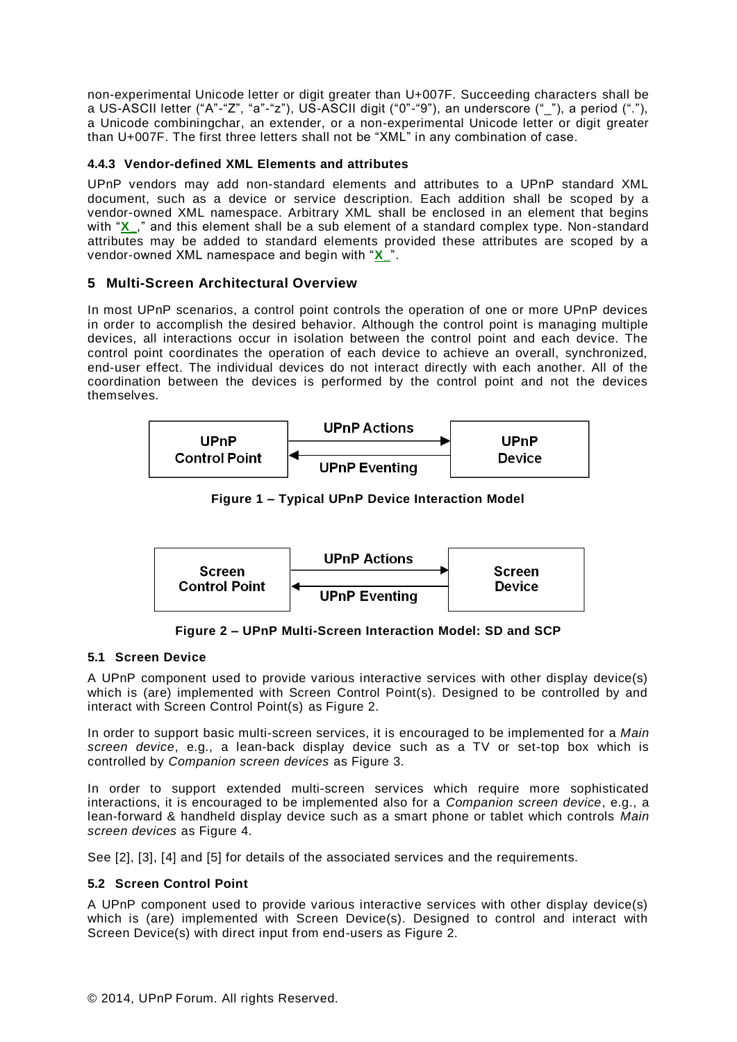non-experimental Unicode letter or digit greater than U+007F. Succeeding characters shall be a US-ASCII letter ("A"-"Z", "a"-"z"), US-ASCII digit ("0"-"9"), an underscore ("\_"), a period ("."), a Unicode combiningchar, an extender, or a non-experimental Unicode letter or digit greater than U+007F. The first three letters shall not be "XML" in any combination of case.

# **4.4.3 Vendor-defined XML Elements and attributes**

UPnP vendors may add non-standard elements and attributes to a UPnP standard XML document, such as a device or service description. Each addition shall be scoped by a vendor-owned XML namespace. Arbitrary XML shall be enclosed in an element that begins with "X"," and this element shall be a sub element of a standard complex type. Non-standard attributes may be added to standard elements provided these attributes are scoped by a vendor-owned XML namespace and begin with "**X\_**".

#### **5 Multi-Screen Architectural Overview**

In most UPnP scenarios, a control point controls the operation of one or more UPnP devices in order to accomplish the desired behavior. Although the control point is managing multiple devices, all interactions occur in isolation between the control point and each device. The control point coordinates the operation of each device to achieve an overall, synchronized, end-user effect. The individual devices do not interact directly with each another. All of the coordination between the devices is performed by the control point and not the devices themselves.



**Figure 1 – Typical UPnP Device Interaction Model**



**Figure 2 – UPnP Multi-Screen Interaction Model: SD and SCP**

#### **5.1 Screen Device**

A UPnP component used to provide various interactive services with other display device(s) which is (are) implemented with Screen Control Point(s). Designed to be controlled by and interact with Screen Control Point(s) as Figure 2.

In order to support basic multi-screen services, it is encouraged to be implemented for a *Main screen device*, e.g., a lean-back display device such as a TV or set-top box which is controlled by *Companion screen devices* as Figure 3.

In order to support extended multi-screen services which require more sophisticated interactions, it is encouraged to be implemented also for a *Companion screen device*, e.g., a lean-forward & handheld display device such as a smart phone or tablet which controls *Main screen devices* as Figure 4.

See [\[2\]](#page-2-8), [\[3\]](#page-2-9), [\[4\]](#page-2-10) and [\[5\]](#page-2-11) for details of the associated services and the requirements.

#### **5.2 Screen Control Point**

A UPnP component used to provide various interactive services with other display device(s) which is (are) implemented with Screen Device(s). Designed to control and interact with Screen Device(s) with direct input from end-users as Figure 2.